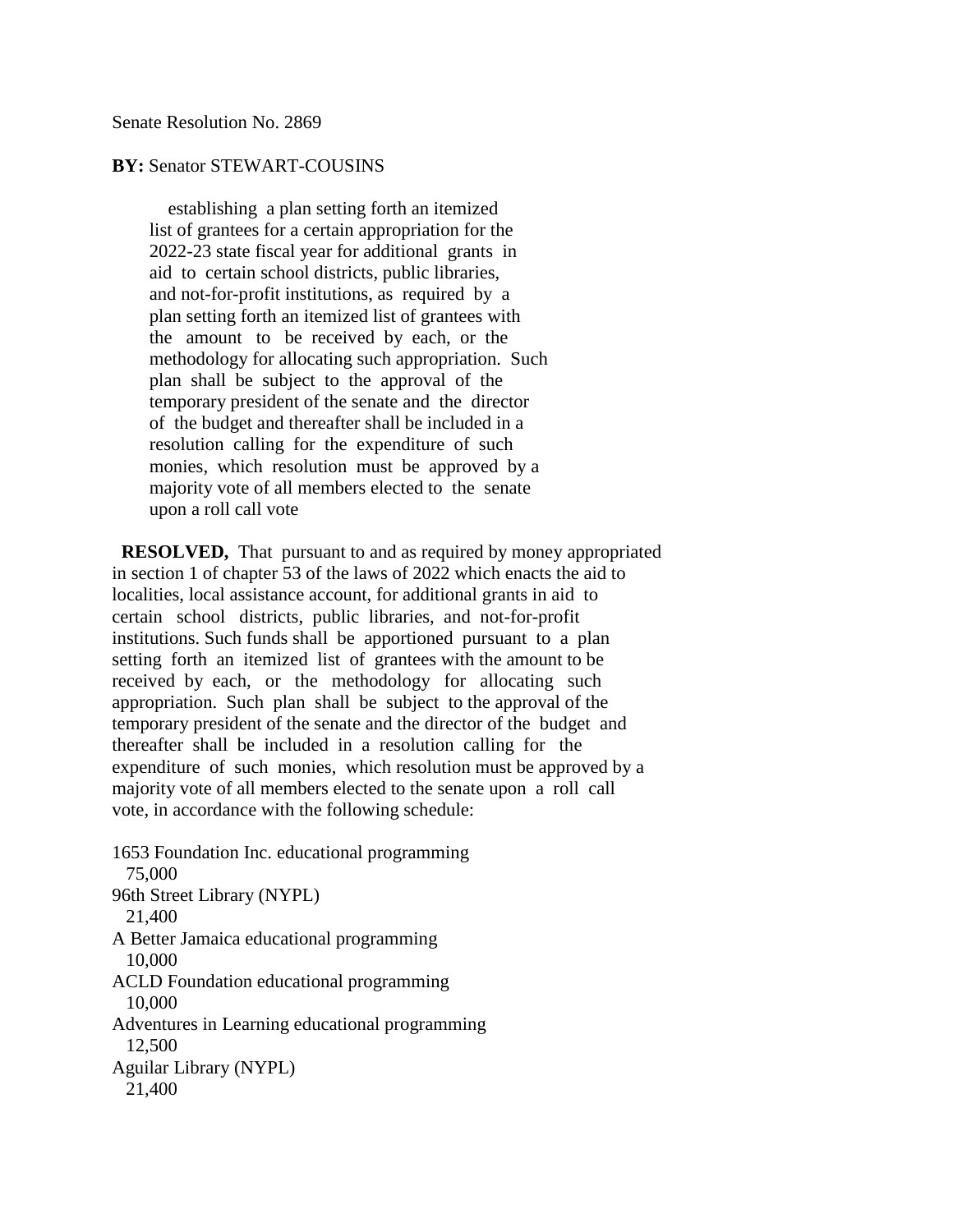Senate Resolution No. 2869

## **BY:** Senator STEWART-COUSINS

 establishing a plan setting forth an itemized list of grantees for a certain appropriation for the 2022-23 state fiscal year for additional grants in aid to certain school districts, public libraries, and not-for-profit institutions, as required by a plan setting forth an itemized list of grantees with the amount to be received by each, or the methodology for allocating such appropriation. Such plan shall be subject to the approval of the temporary president of the senate and the director of the budget and thereafter shall be included in a resolution calling for the expenditure of such monies, which resolution must be approved by a majority vote of all members elected to the senate upon a roll call vote

 **RESOLVED,** That pursuant to and as required by money appropriated in section 1 of chapter 53 of the laws of 2022 which enacts the aid to localities, local assistance account, for additional grants in aid to certain school districts, public libraries, and not-for-profit institutions. Such funds shall be apportioned pursuant to a plan setting forth an itemized list of grantees with the amount to be received by each, or the methodology for allocating such appropriation. Such plan shall be subject to the approval of the temporary president of the senate and the director of the budget and thereafter shall be included in a resolution calling for the expenditure of such monies, which resolution must be approved by a majority vote of all members elected to the senate upon a roll call vote, in accordance with the following schedule:

1653 Foundation Inc. educational programming 75,000 96th Street Library (NYPL) 21,400 A Better Jamaica educational programming 10,000 ACLD Foundation educational programming 10,000 Adventures in Learning educational programming 12,500 Aguilar Library (NYPL) 21,400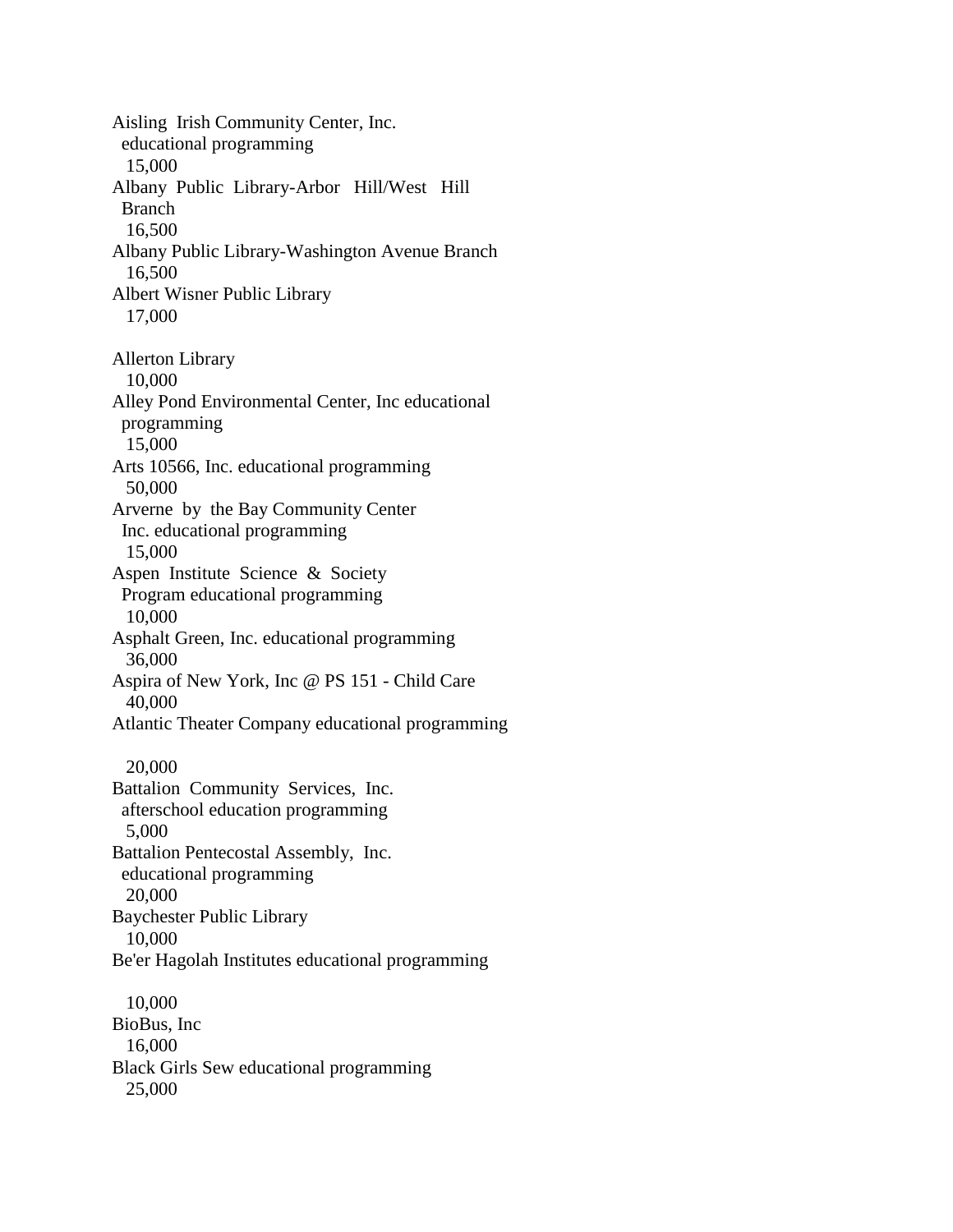Aisling Irish Community Center, Inc. educational programming 15,000 Albany Public Library-Arbor Hill/West Hill Branch 16,500 Albany Public Library-Washington Avenue Branch 16,500 Albert Wisner Public Library 17,000 Allerton Library 10,000 Alley Pond Environmental Center, Inc educational programming 15,000 Arts 10566, Inc. educational programming 50,000 Arverne by the Bay Community Center Inc. educational programming 15,000 Aspen Institute Science & Society Program educational programming 10,000 Asphalt Green, Inc. educational programming 36,000 Aspira of New York, Inc @ PS 151 - Child Care 40,000 Atlantic Theater Company educational programming 20,000 Battalion Community Services, Inc. afterschool education programming 5,000 Battalion Pentecostal Assembly, Inc. educational programming 20,000 Baychester Public Library 10,000 Be'er Hagolah Institutes educational programming 10,000 BioBus, Inc 16,000 Black Girls Sew educational programming 25,000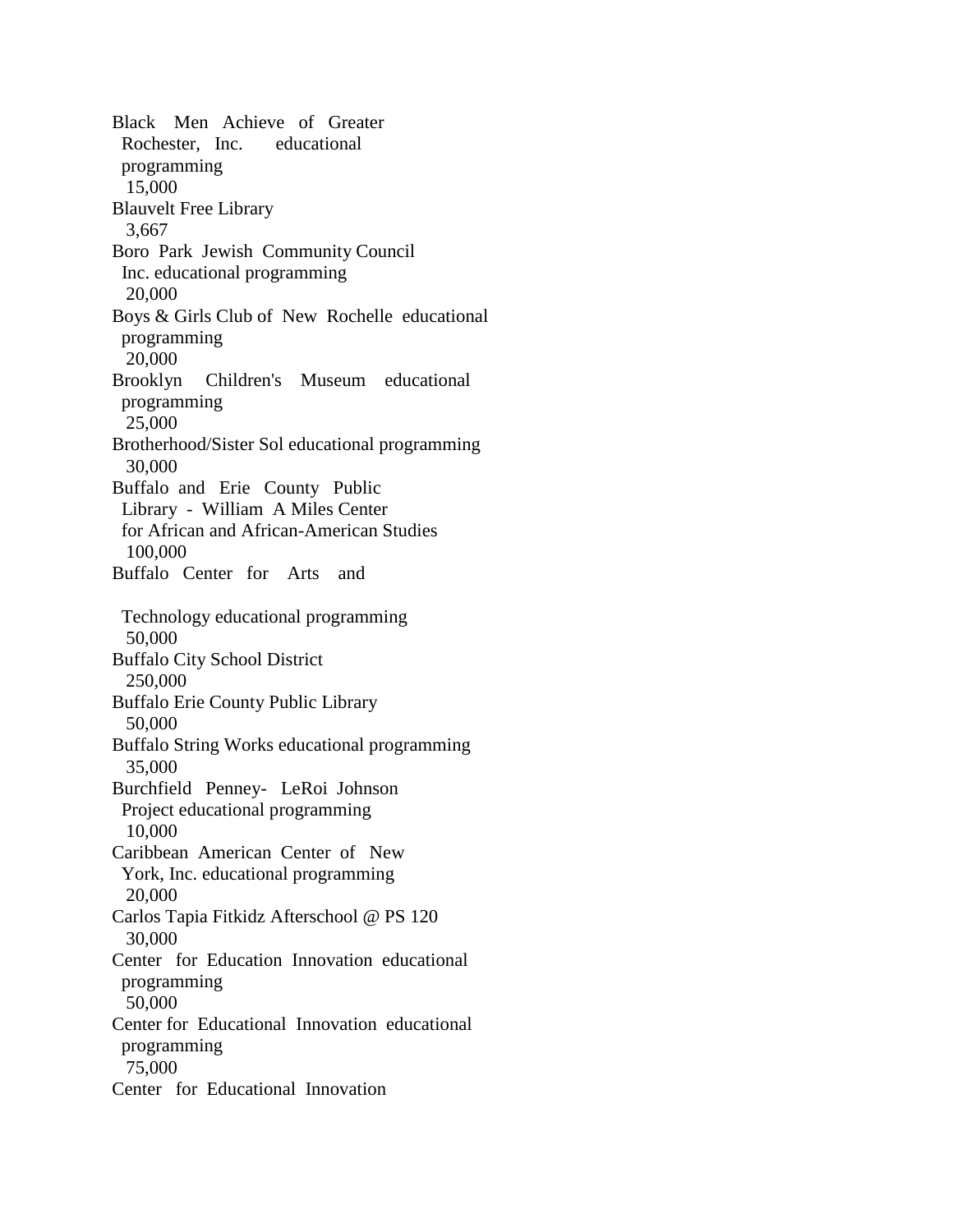Black Men Achieve of Greater Rochester, Inc. educational programming 15,000 Blauvelt Free Library 3,667 Boro Park Jewish Community Council Inc. educational programming 20,000 Boys & Girls Club of New Rochelle educational programming 20,000 Brooklyn Children's Museum educational programming 25,000 Brotherhood/Sister Sol educational programming 30,000 Buffalo and Erie County Public Library - William A Miles Center for African and African-American Studies 100,000 Buffalo Center for Arts and Technology educational programming 50,000 Buffalo City School District 250,000 Buffalo Erie County Public Library 50,000 Buffalo String Works educational programming 35,000 Burchfield Penney- LeRoi Johnson Project educational programming 10,000 Caribbean American Center of New York, Inc. educational programming 20,000 Carlos Tapia Fitkidz Afterschool @ PS 120 30,000 Center for Education Innovation educational programming 50,000 Center for Educational Innovation educational programming 75,000 Center for Educational Innovation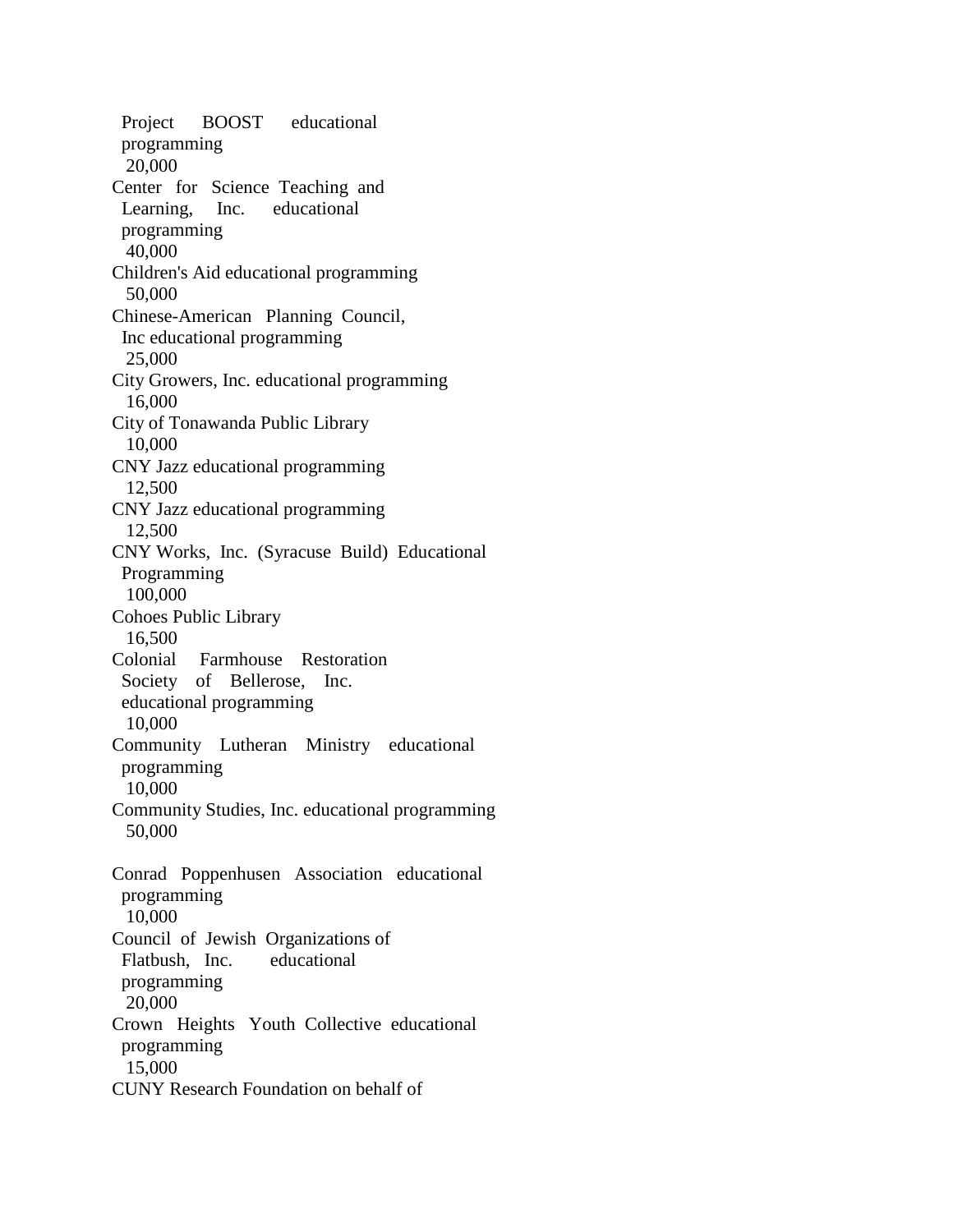Project BOOST educational programming 20,000 Center for Science Teaching and Learning, Inc. educational programming 40,000 Children's Aid educational programming 50,000 Chinese-American Planning Council, Inc educational programming 25,000 City Growers, Inc. educational programming 16,000 City of Tonawanda Public Library 10,000 CNY Jazz educational programming 12,500 CNY Jazz educational programming 12,500 CNY Works, Inc. (Syracuse Build) Educational Programming 100,000 Cohoes Public Library 16,500 Colonial Farmhouse Restoration Society of Bellerose, Inc. educational programming 10,000 Community Lutheran Ministry educational programming 10,000 Community Studies, Inc. educational programming 50,000 Conrad Poppenhusen Association educational programming 10,000 Council of Jewish Organizations of Flatbush, Inc. educational programming 20,000 Crown Heights Youth Collective educational programming 15,000 CUNY Research Foundation on behalf of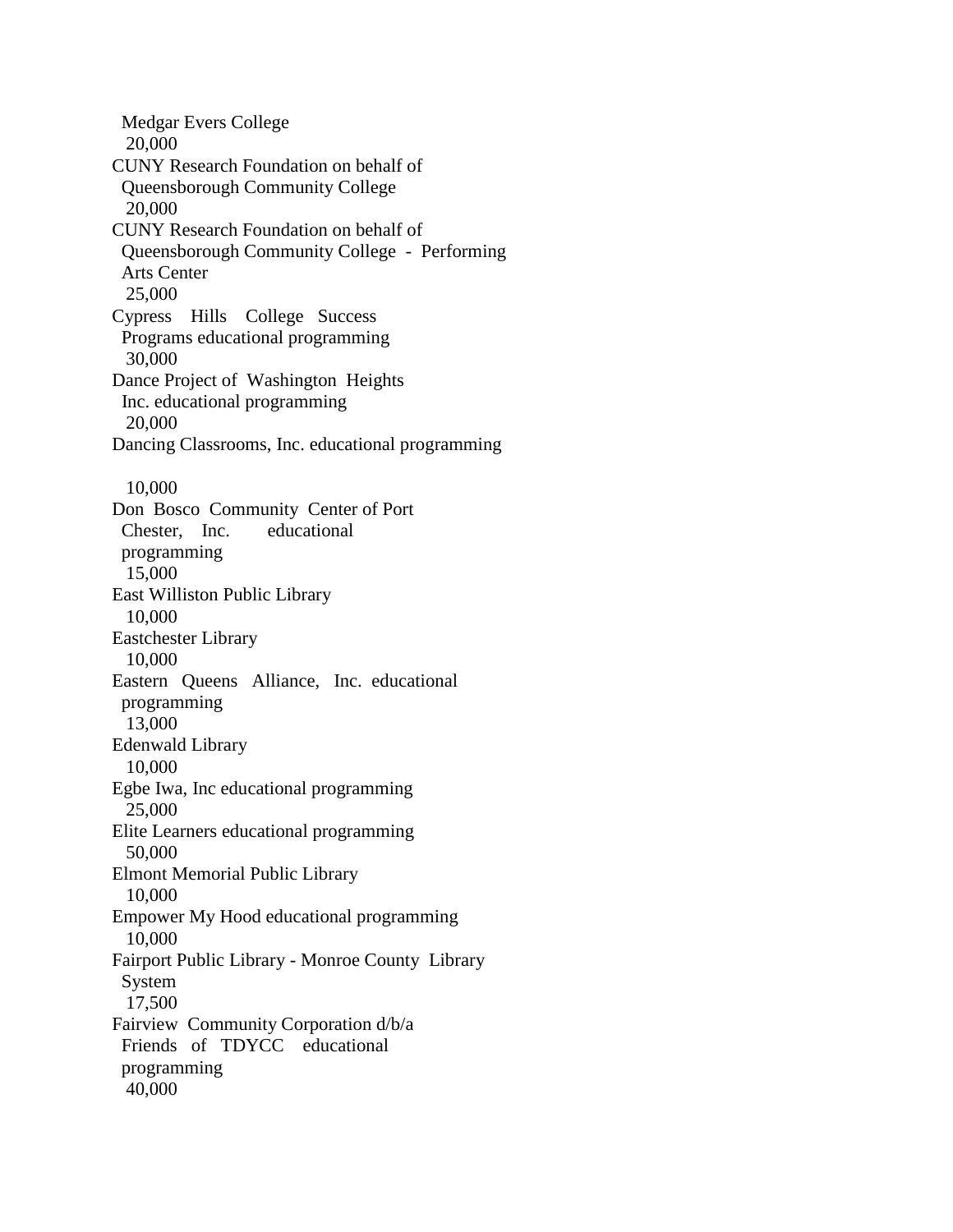Medgar Evers College 20,000 CUNY Research Foundation on behalf of Queensborough Community College 20,000 CUNY Research Foundation on behalf of Queensborough Community College - Performing Arts Center 25,000 Cypress Hills College Success Programs educational programming 30,000 Dance Project of Washington Heights Inc. educational programming 20,000 Dancing Classrooms, Inc. educational programming 10,000 Don Bosco Community Center of Port Chester, Inc. educational programming 15,000 East Williston Public Library 10,000 Eastchester Library 10,000 Eastern Queens Alliance, Inc. educational programming 13,000 Edenwald Library 10,000 Egbe Iwa, Inc educational programming 25,000 Elite Learners educational programming 50,000 Elmont Memorial Public Library 10,000 Empower My Hood educational programming 10,000 Fairport Public Library - Monroe County Library System 17,500 Fairview Community Corporation d/b/a Friends of TDYCC educational programming 40,000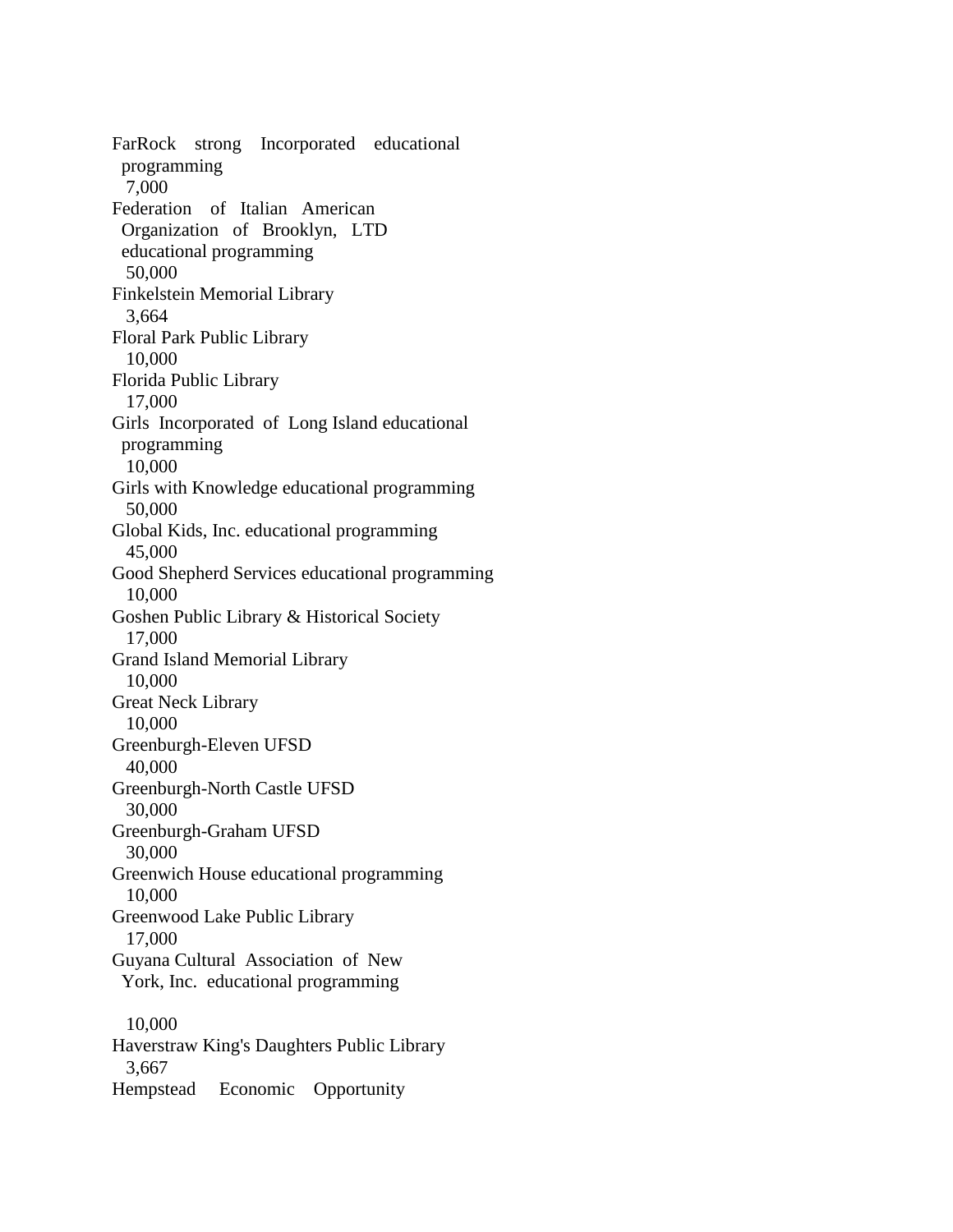FarRock strong Incorporated educational programming 7,000 Federation of Italian American Organization of Brooklyn, LTD educational programming 50,000 Finkelstein Memorial Library 3,664 Floral Park Public Library 10,000 Florida Public Library 17,000 Girls Incorporated of Long Island educational programming 10,000 Girls with Knowledge educational programming 50,000 Global Kids, Inc. educational programming 45,000 Good Shepherd Services educational programming 10,000 Goshen Public Library & Historical Society 17,000 Grand Island Memorial Library 10,000 Great Neck Library 10,000 Greenburgh-Eleven UFSD 40,000 Greenburgh-North Castle UFSD 30,000 Greenburgh-Graham UFSD 30,000 Greenwich House educational programming 10,000 Greenwood Lake Public Library 17,000 Guyana Cultural Association of New York, Inc. educational programming 10,000 Haverstraw King's Daughters Public Library 3,667 Hempstead Economic Opportunity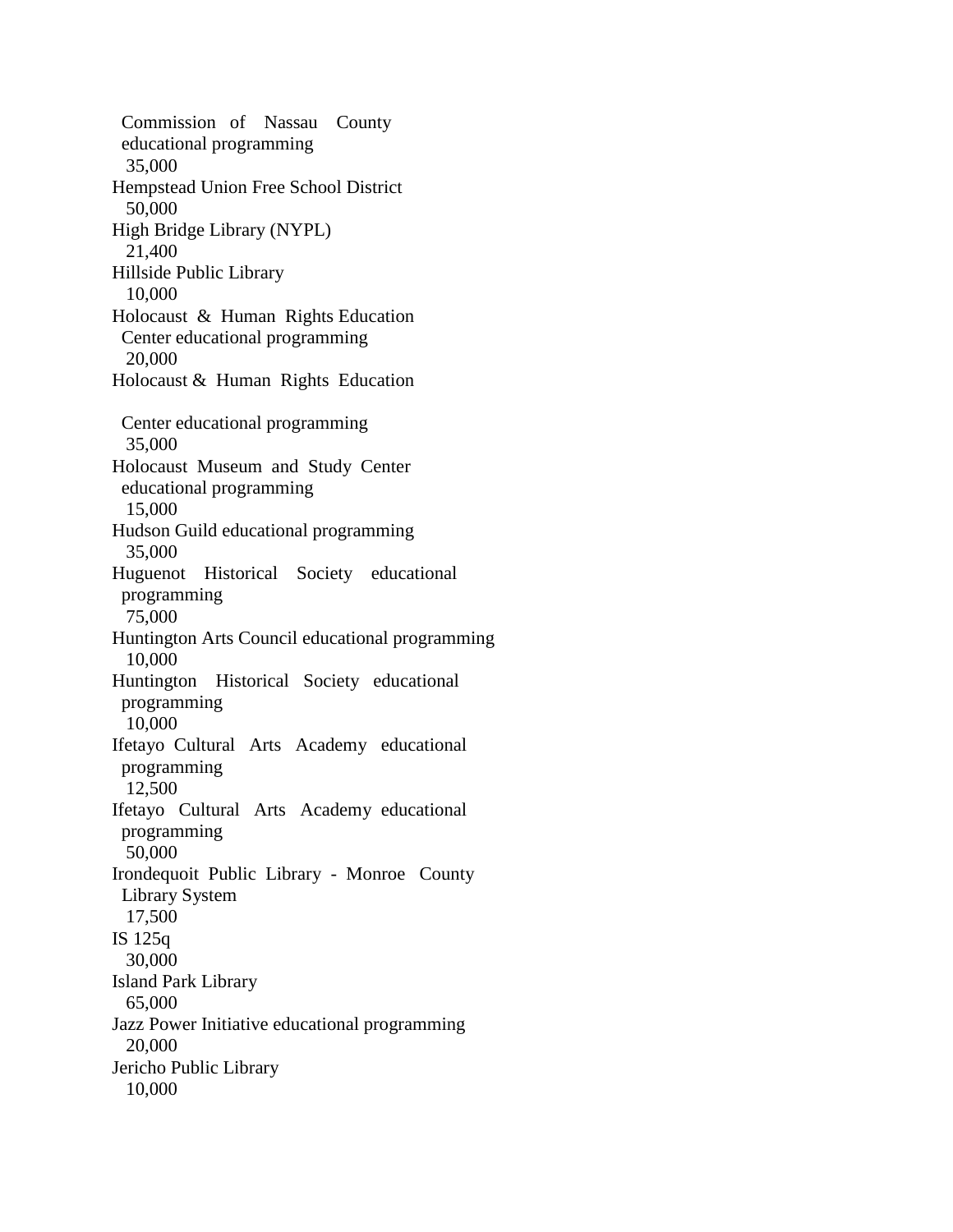Commission of Nassau County educational programming 35,000 Hempstead Union Free School District 50,000 High Bridge Library (NYPL) 21,400 Hillside Public Library 10,000 Holocaust & Human Rights Education Center educational programming 20,000 Holocaust & Human Rights Education Center educational programming 35,000 Holocaust Museum and Study Center educational programming 15,000 Hudson Guild educational programming 35,000 Huguenot Historical Society educational programming 75,000 Huntington Arts Council educational programming 10,000 Huntington Historical Society educational programming 10,000 Ifetayo Cultural Arts Academy educational programming 12,500 Ifetayo Cultural Arts Academy educational programming 50,000 Irondequoit Public Library - Monroe County Library System 17,500 IS 125q 30,000 Island Park Library 65,000 Jazz Power Initiative educational programming 20,000 Jericho Public Library 10,000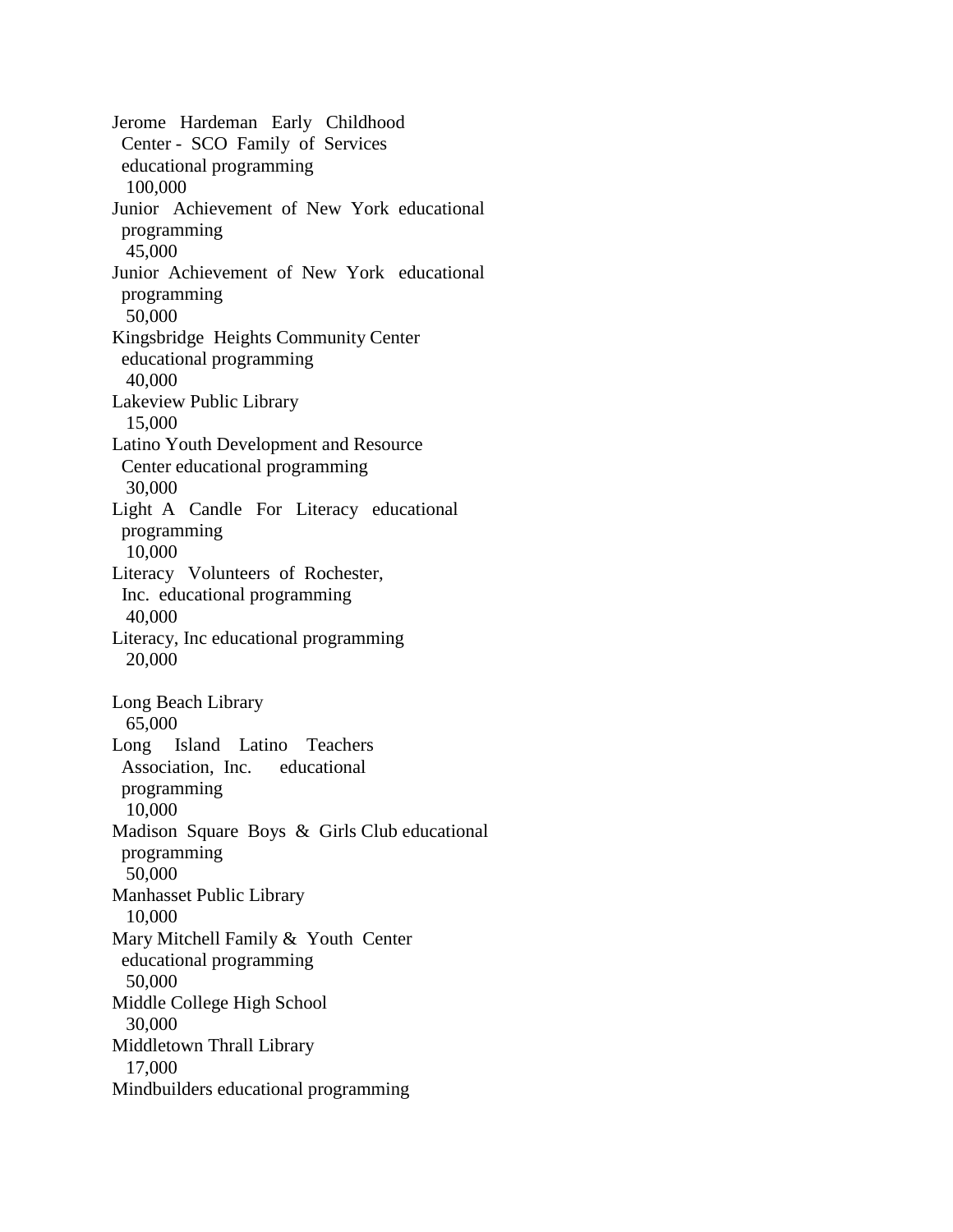Jerome Hardeman Early Childhood Center - SCO Family of Services educational programming 100,000 Junior Achievement of New York educational programming 45,000 Junior Achievement of New York educational programming 50,000 Kingsbridge Heights Community Center educational programming 40,000 Lakeview Public Library 15,000 Latino Youth Development and Resource Center educational programming 30,000 Light A Candle For Literacy educational programming 10,000 Literacy Volunteers of Rochester, Inc. educational programming 40,000 Literacy, Inc educational programming 20,000 Long Beach Library 65,000 Long Island Latino Teachers Association, Inc. educational programming 10,000 Madison Square Boys & Girls Club educational programming 50,000 Manhasset Public Library 10,000 Mary Mitchell Family & Youth Center educational programming 50,000 Middle College High School 30,000 Middletown Thrall Library 17,000 Mindbuilders educational programming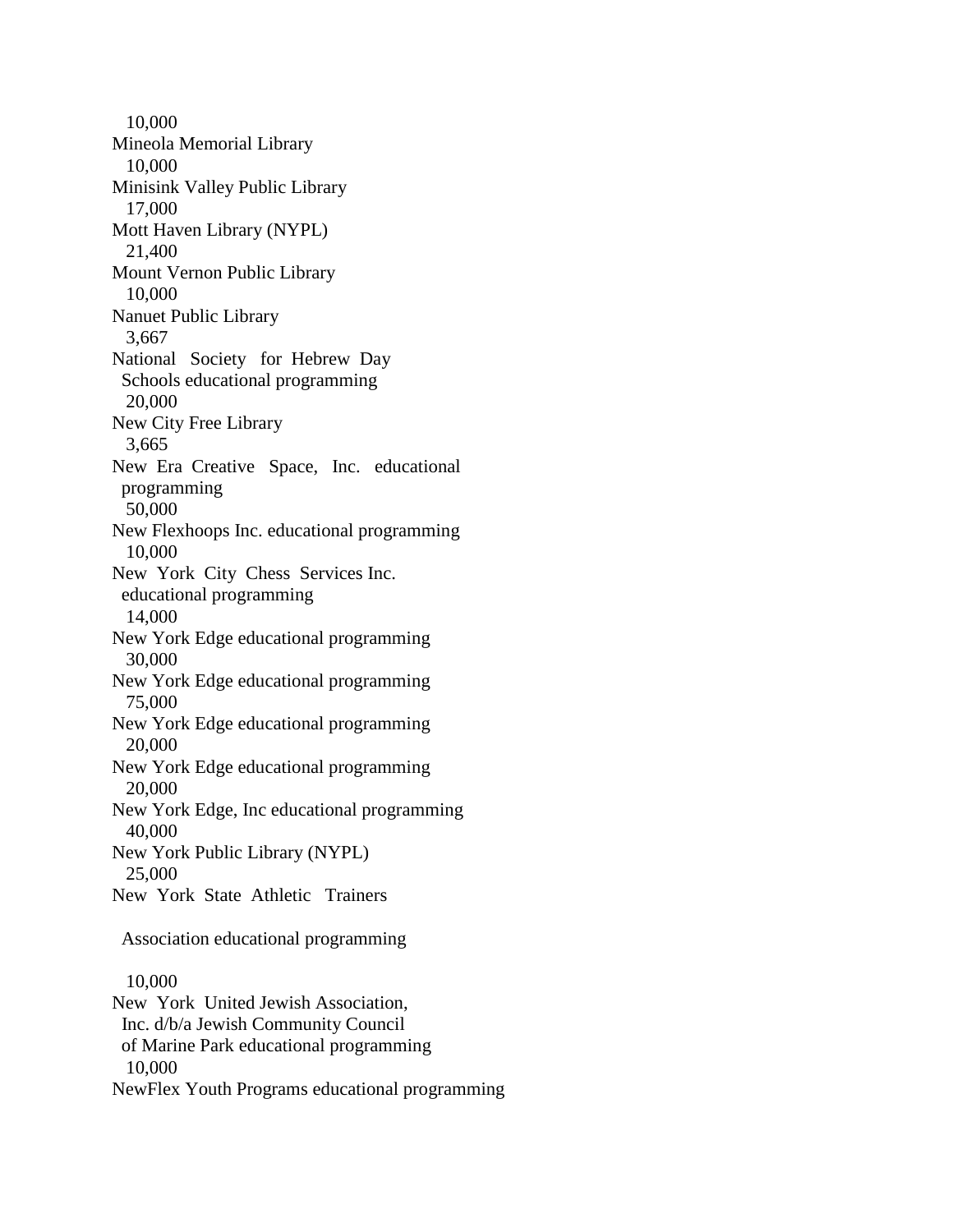10,000 Mineola Memorial Library 10,000 Minisink Valley Public Library 17,000 Mott Haven Library (NYPL) 21,400 Mount Vernon Public Library 10,000 Nanuet Public Library 3,667 National Society for Hebrew Day Schools educational programming 20,000 New City Free Library 3,665 New Era Creative Space, Inc. educational programming 50,000 New Flexhoops Inc. educational programming 10,000 New York City Chess Services Inc. educational programming 14,000 New York Edge educational programming 30,000 New York Edge educational programming 75,000 New York Edge educational programming 20,000 New York Edge educational programming 20,000 New York Edge, Inc educational programming 40,000 New York Public Library (NYPL) 25,000 New York State Athletic Trainers Association educational programming 10,000 New York United Jewish Association, Inc. d/b/a Jewish Community Council of Marine Park educational programming 10,000 NewFlex Youth Programs educational programming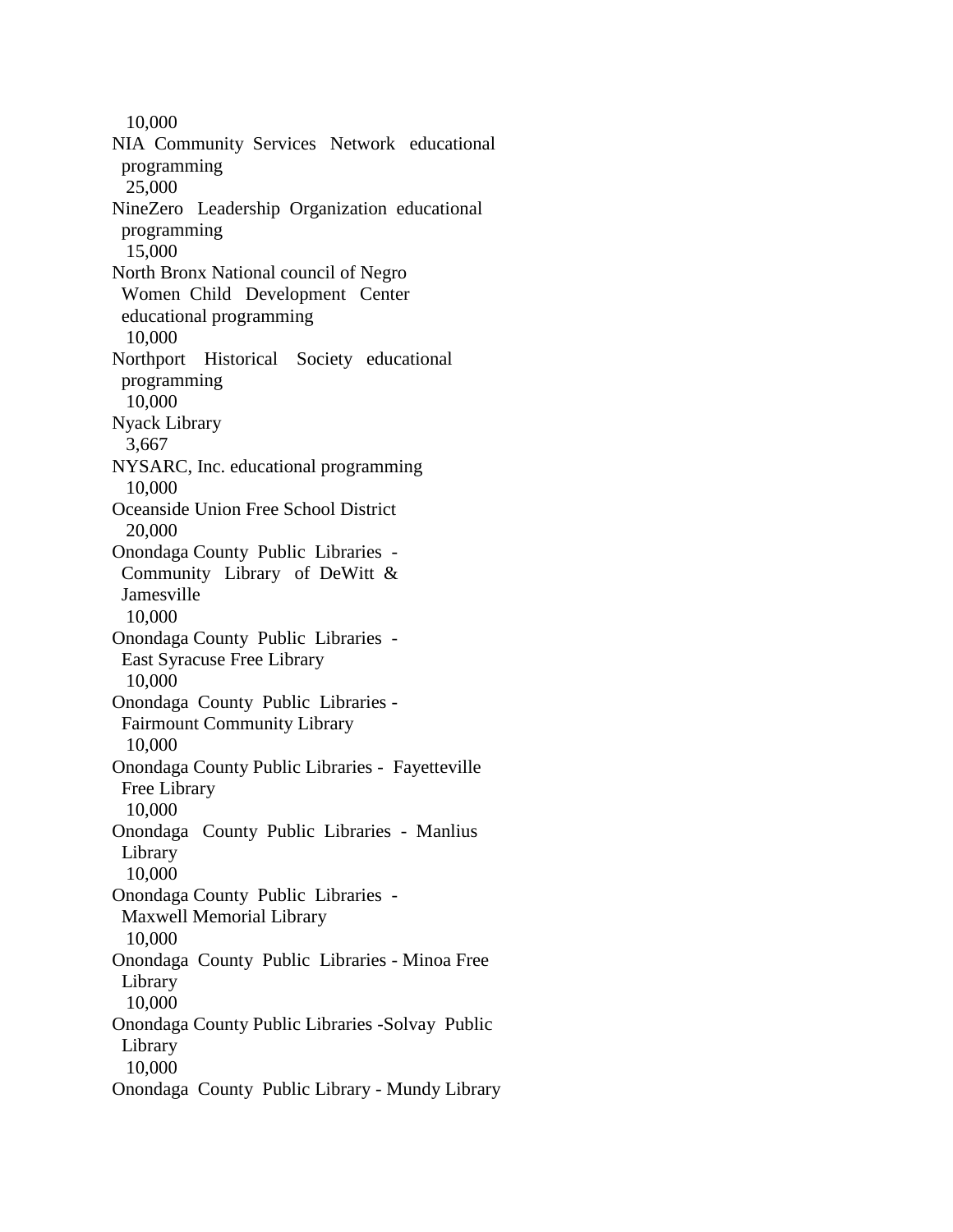10,000 NIA Community Services Network educational programming 25,000 NineZero Leadership Organization educational programming 15,000 North Bronx National council of Negro Women Child Development Center educational programming 10,000 Northport Historical Society educational programming 10,000 Nyack Library 3,667 NYSARC, Inc. educational programming 10,000 Oceanside Union Free School District 20,000 Onondaga County Public Libraries - Community Library of DeWitt & Jamesville 10,000 Onondaga County Public Libraries - East Syracuse Free Library 10,000 Onondaga County Public Libraries - Fairmount Community Library 10,000 Onondaga County Public Libraries - Fayetteville Free Library 10,000 Onondaga County Public Libraries - Manlius Library 10,000 Onondaga County Public Libraries - Maxwell Memorial Library 10,000 Onondaga County Public Libraries - Minoa Free Library 10,000 Onondaga County Public Libraries -Solvay Public Library 10,000 Onondaga County Public Library - Mundy Library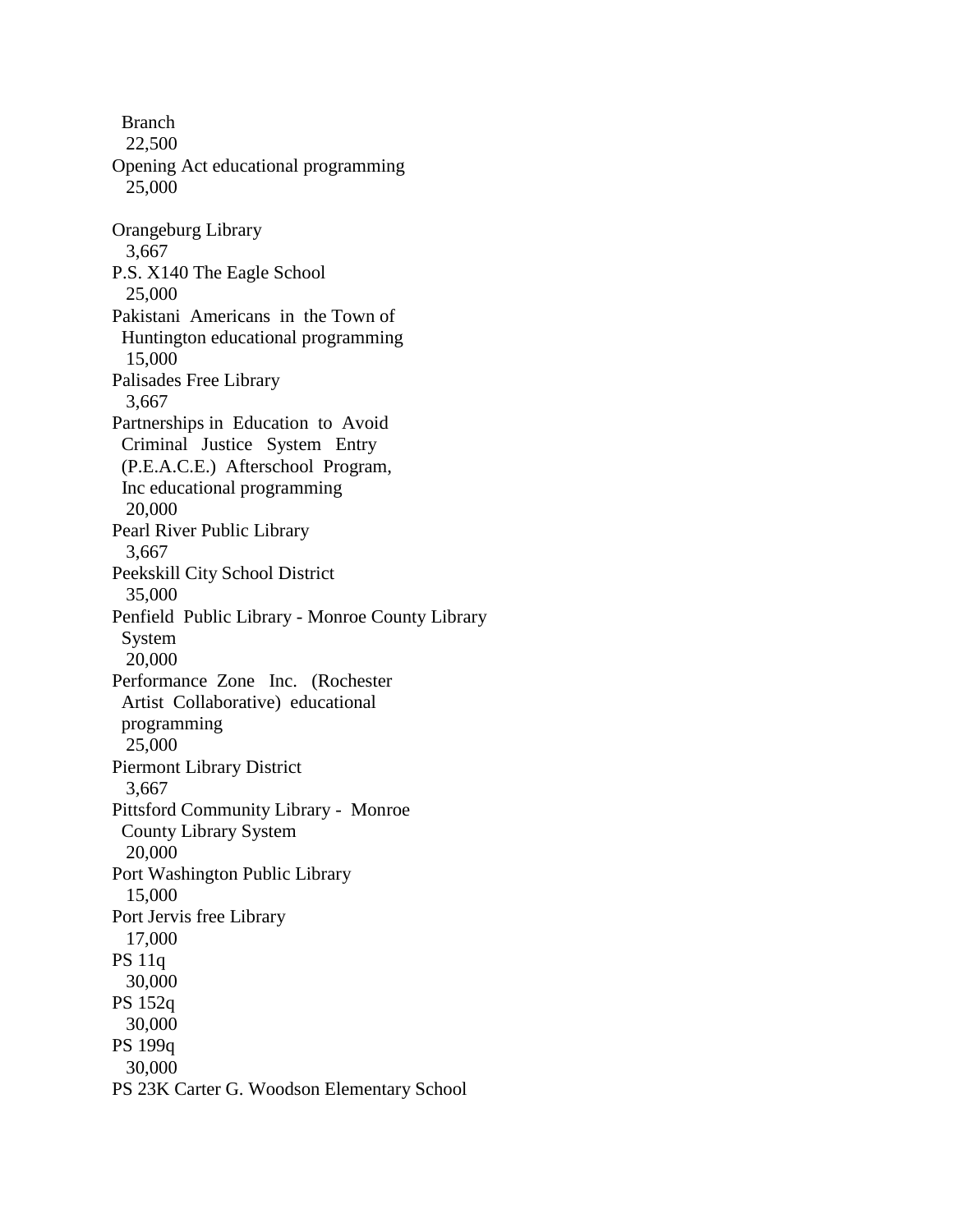Branch 22,500 Opening Act educational programming 25,000 Orangeburg Library 3,667 P.S. X140 The Eagle School 25,000 Pakistani Americans in the Town of Huntington educational programming 15,000 Palisades Free Library 3,667 Partnerships in Education to Avoid Criminal Justice System Entry (P.E.A.C.E.) Afterschool Program, Inc educational programming 20,000 Pearl River Public Library 3,667 Peekskill City School District 35,000 Penfield Public Library - Monroe County Library System 20,000 Performance Zone Inc. (Rochester Artist Collaborative) educational programming 25,000 Piermont Library District 3,667 Pittsford Community Library - Monroe County Library System 20,000 Port Washington Public Library 15,000 Port Jervis free Library 17,000 PS 11q 30,000 PS 152q 30,000 PS 199q 30,000 PS 23K Carter G. Woodson Elementary School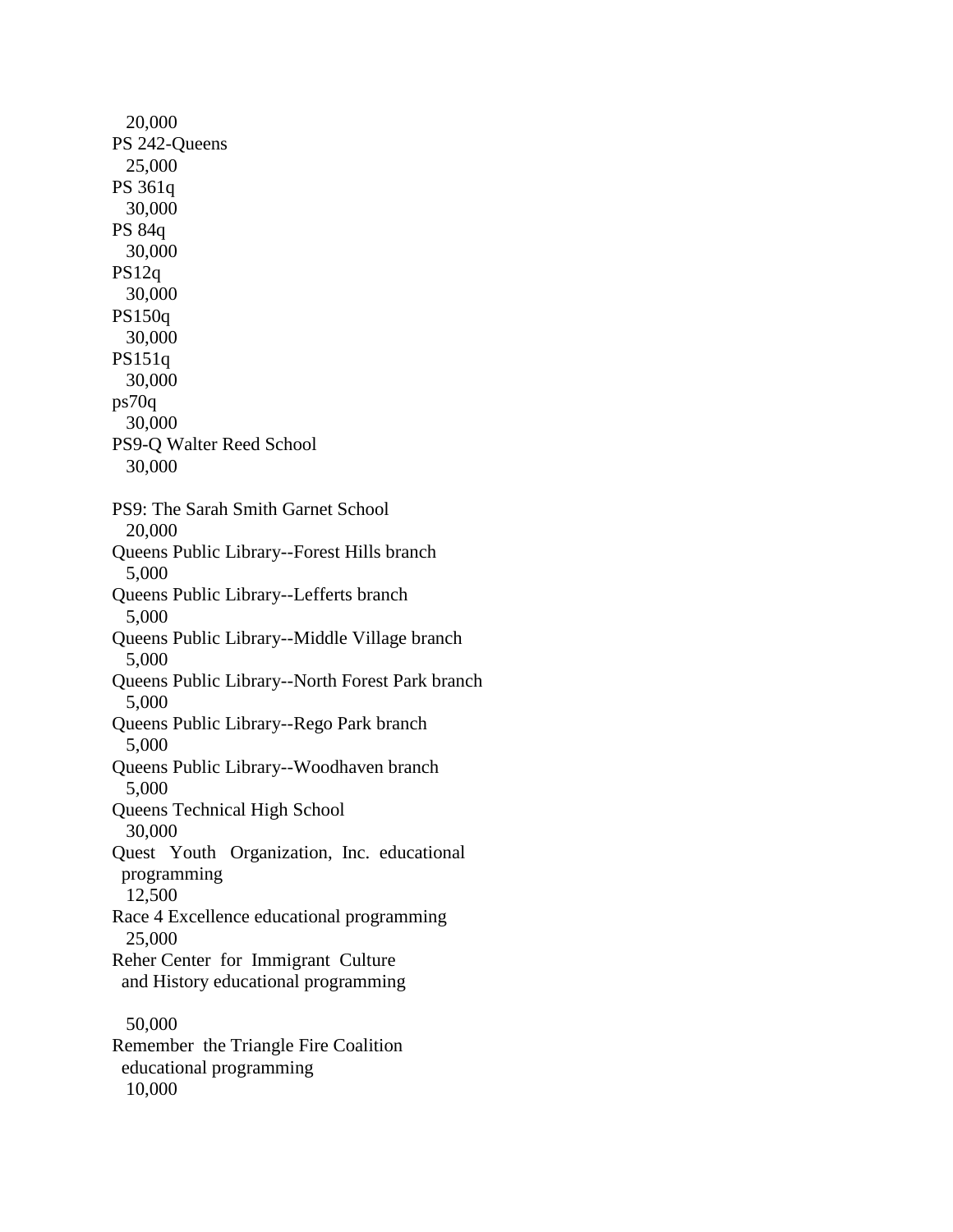| 20,000                                                |
|-------------------------------------------------------|
| PS 242-Queens                                         |
| 25,000                                                |
| PS 361q                                               |
| 30,000                                                |
| PS 84q                                                |
| 30,000                                                |
| PS12q<br>30,000                                       |
| PS150q                                                |
| 30,000                                                |
| PS151q                                                |
| 30,000                                                |
| ps70q                                                 |
| 30,000                                                |
| PS9-Q Walter Reed School                              |
| 30,000                                                |
|                                                       |
| PS9: The Sarah Smith Garnet School                    |
| 20,000                                                |
| Queens Public Library--Forest Hills branch            |
| 5,000                                                 |
| Queens Public Library--Lefferts branch                |
| 5,000                                                 |
| Queens Public Library--Middle Village branch<br>5,000 |
| Queens Public Library--North Forest Park branch       |
| 5,000                                                 |
| Queens Public Library--Rego Park branch               |
| 5,000                                                 |
| Queens Public Library--Woodhaven branch               |
| 5,000                                                 |
| Queens Technical High School                          |
| 30,000                                                |
| Quest Youth Organization, Inc. educational            |
| programming                                           |
| 12,500                                                |
| Race 4 Excellence educational programming             |
| 25,000                                                |
| Reher Center for Immigrant Culture                    |
| and History educational programming                   |
| 50,000                                                |
| Remember the Triangle Fire Coalition                  |
| educational programming                               |
| 10,000                                                |
|                                                       |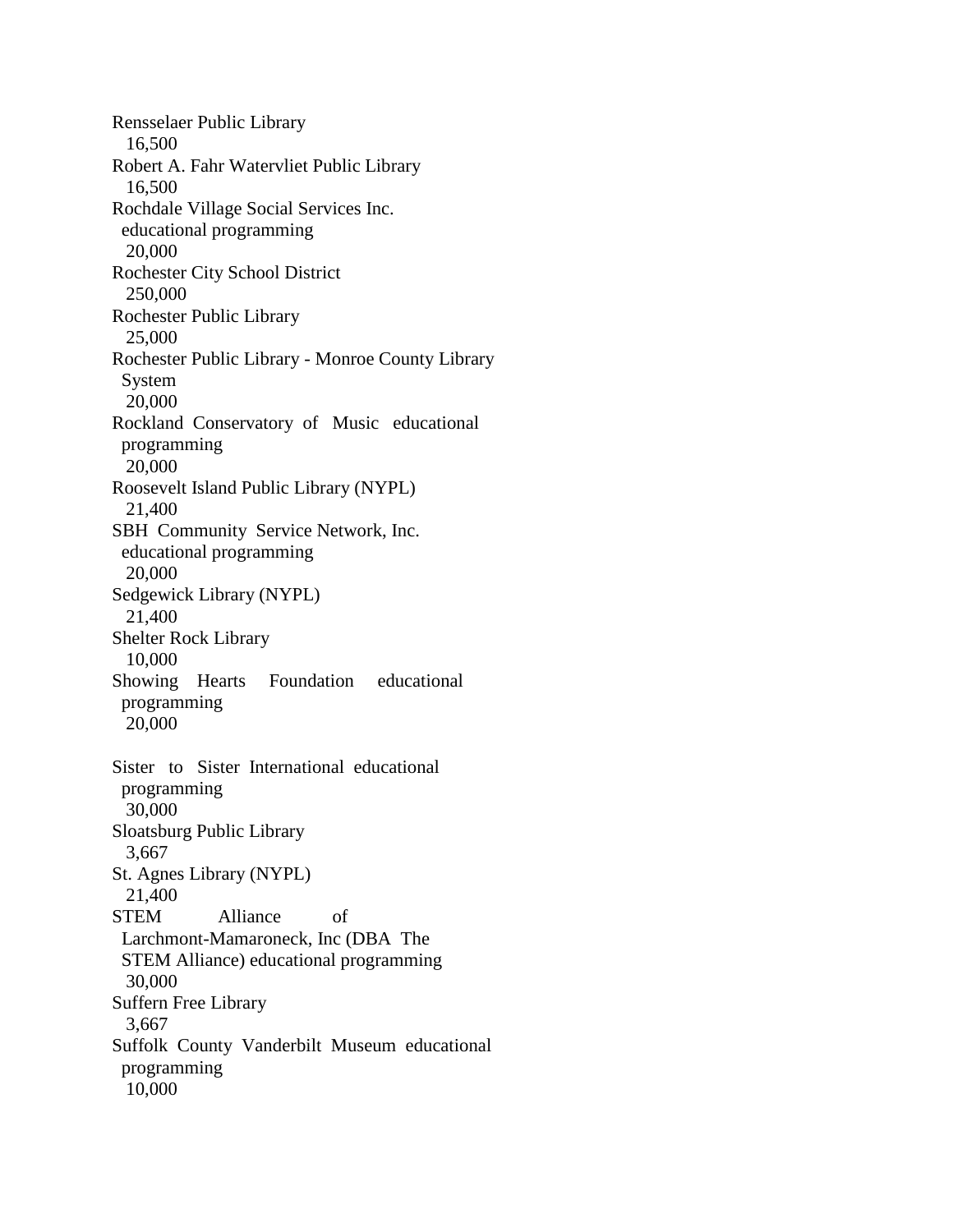Rensselaer Public Library 16,500 Robert A. Fahr Watervliet Public Library 16,500 Rochdale Village Social Services Inc. educational programming 20,000 Rochester City School District 250,000 Rochester Public Library 25,000 Rochester Public Library - Monroe County Library System 20,000 Rockland Conservatory of Music educational programming 20,000 Roosevelt Island Public Library (NYPL) 21,400 SBH Community Service Network, Inc. educational programming 20,000 Sedgewick Library (NYPL) 21,400 Shelter Rock Library 10,000 Showing Hearts Foundation educational programming 20,000 Sister to Sister International educational programming 30,000 Sloatsburg Public Library 3,667 St. Agnes Library (NYPL) 21,400 STEM Alliance of Larchmont-Mamaroneck, Inc (DBA The STEM Alliance) educational programming 30,000 Suffern Free Library 3,667 Suffolk County Vanderbilt Museum educational programming 10,000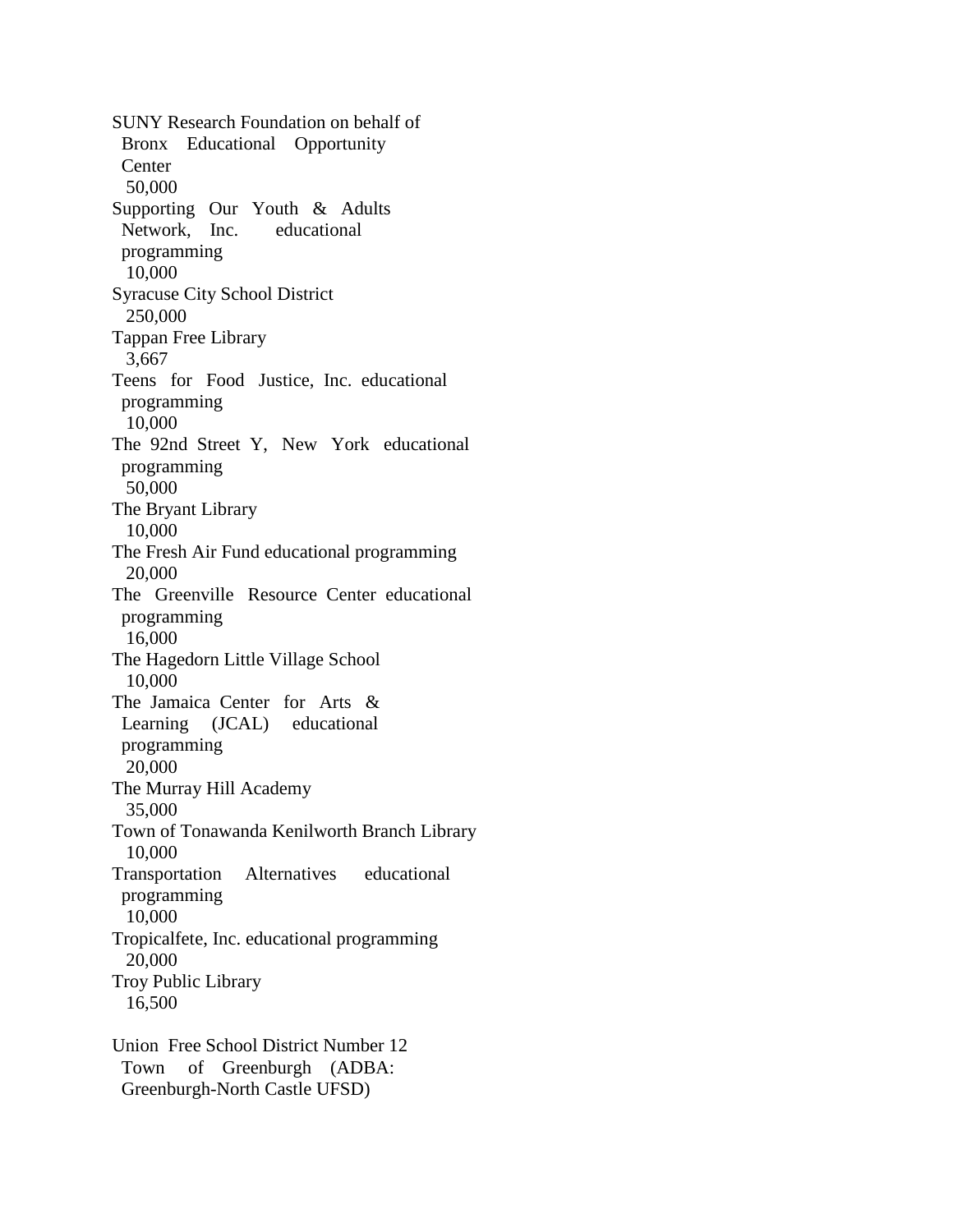SUNY Research Foundation on behalf of Bronx Educational Opportunity **Center**  50,000 Supporting Our Youth & Adults Network, Inc. educational programming 10,000 Syracuse City School District 250,000 Tappan Free Library 3,667 Teens for Food Justice, Inc. educational programming 10,000 The 92nd Street Y, New York educational programming 50,000 The Bryant Library 10,000 The Fresh Air Fund educational programming 20,000 The Greenville Resource Center educational programming 16,000 The Hagedorn Little Village School 10,000 The Jamaica Center for Arts & Learning (JCAL) educational programming 20,000 The Murray Hill Academy 35,000 Town of Tonawanda Kenilworth Branch Library 10,000 Transportation Alternatives educational programming 10,000 Tropicalfete, Inc. educational programming 20,000 Troy Public Library 16,500 Union Free School District Number 12 Town of Greenburgh (ADBA:

Greenburgh-North Castle UFSD)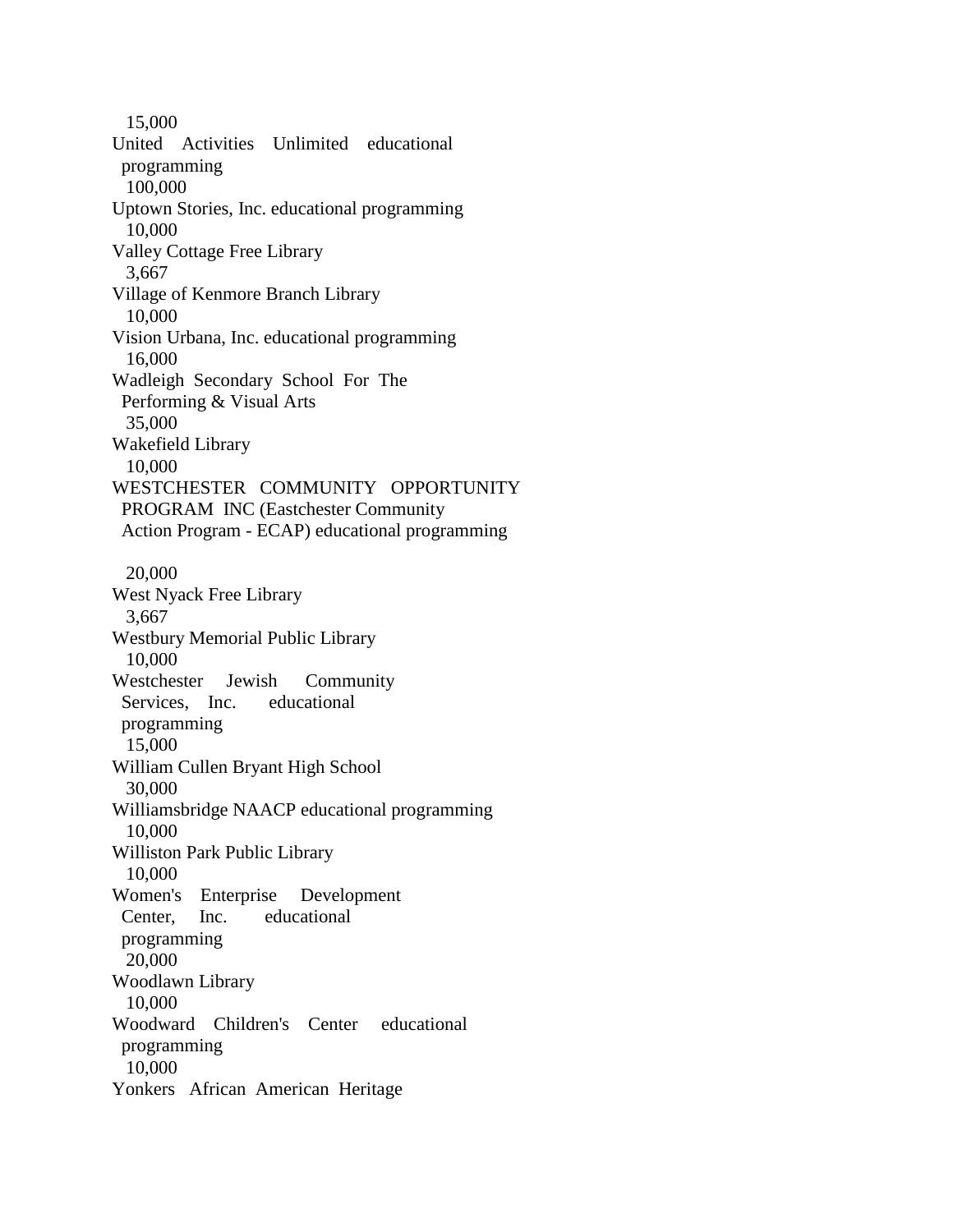15,000 United Activities Unlimited educational programming 100,000 Uptown Stories, Inc. educational programming 10,000 Valley Cottage Free Library 3,667 Village of Kenmore Branch Library 10,000 Vision Urbana, Inc. educational programming 16,000 Wadleigh Secondary School For The Performing & Visual Arts 35,000 Wakefield Library 10,000 WESTCHESTER COMMUNITY OPPORTUNITY PROGRAM INC (Eastchester Community Action Program - ECAP) educational programming 20,000 West Nyack Free Library 3,667 Westbury Memorial Public Library 10,000 Westchester Jewish Community Services, Inc. educational programming 15,000 William Cullen Bryant High School 30,000 Williamsbridge NAACP educational programming 10,000 Williston Park Public Library 10,000 Women's Enterprise Development Center, Inc. educational programming 20,000 Woodlawn Library 10,000 Woodward Children's Center educational programming 10,000 Yonkers African American Heritage